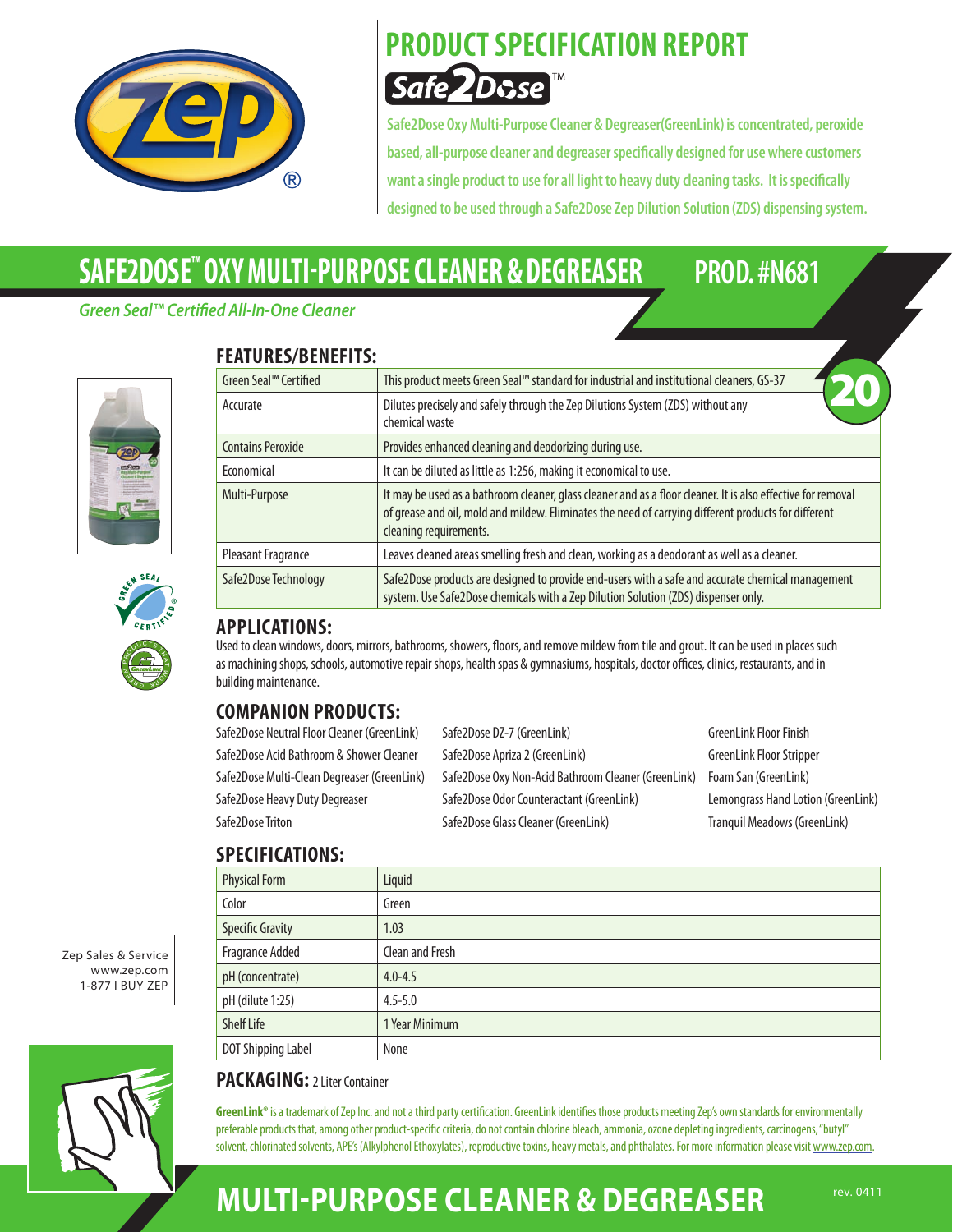

### **PRODUCT SPECIFICATION REPORT Safe** *ZDose*

**Safe2Dose OxyMulti-PurposeCleaner & Degreaser(GreenLink) isconcentrated, peroxide based,all-purposecleanerand degreaserspecifically designed for usewherecustomers wantasingle productto useforall lightto heavy dutycleaning tasks. Itisspecifically designed to be used through aSafe2DoseZep Dilution Solution (ZDS) dispensing system.**

# **SAFE2DOSE™ Oxy MULTI-PURPOSE CLEANER & DEGREASER PROD. #N681**

**FEATURES/BENEFITS:**

#### *Green Seal™ Certified All-In-One Cleaner*







#### Green Seal™ Certified This product meets Green Seal™ standard for industrial and institutional cleaners, GS-37 Accurate Dilutes precisely and safely through the Zep Dilutions System (ZDS) without any chemical waste Contains Peroxide Provides enhanced cleaning and deodorizing during use. Economical It can be diluted as little as 1:256, making it economical to use. Multi-Purpose It may be used as a bathroom cleaner, glass cleaner and as a floor cleaner. It is also effective for removal of grease and oil, mold and mildew. Eliminates the need of carrying different products for different cleaning requirements. Pleasant Fragrance | Leaves cleaned areas smelling fresh and clean, working as a deodorant as well as a cleaner. Safe2Dose Technology Safe2Dose products are designed to provide end-users with a safe and accurate chemical management system. Use Safe2Dose chemicals with a Zep Dilution Solution (ZDS) dispenser only. 20

#### **APPLICATIONS:**

Used to clean windows, doors, mirrors, bathrooms, showers, floors, and remove mildew from tile and grout. It can be used in places such as machining shops, schools, automotive repair shops, health spas & gymnasiums, hospitals, doctor offices, clinics, restaurants, and in building maintenance.

### **COMPANION PRODUCTS:**

| Safe2Dose Neutral Floor Cleaner (GreenLink) | Safe2Dose DZ-7 (GreenLink)                          | <b>GreenLink Floor Finish</b>      |
|---------------------------------------------|-----------------------------------------------------|------------------------------------|
| Safe2Dose Acid Bathroom & Shower Cleaner    | Safe2Dose Apriza 2 (GreenLink)                      | <b>GreenLink Floor Stripper</b>    |
| Safe2Dose Multi-Clean Degreaser (GreenLink) | Safe2Dose Oxy Non-Acid Bathroom Cleaner (GreenLink) | Foam San (GreenLink)               |
| Safe2Dose Heavy Duty Degreaser              | Safe2Dose Odor Counteractant (GreenLink)            | Lemongrass Hand Lotion (GreenLink) |
| Safe2Dose Triton                            | Safe2Dose Glass Cleaner (GreenLink)                 | Tranquil Meadows (GreenLink)       |
|                                             |                                                     |                                    |

#### **SPECIFICATIONS:**

| JI LAII IANI IVIIJ.     |                 |
|-------------------------|-----------------|
| <b>Physical Form</b>    | Liquid          |
| Color                   | Green           |
| <b>Specific Gravity</b> | 1.03            |
| <b>Fragrance Added</b>  | Clean and Fresh |
| pH (concentrate)        | $4.0 - 4.5$     |
| pH (dilute 1:25)        | $4.5 - 5.0$     |
| <b>Shelf Life</b>       | 1 Year Minimum  |
| DOT Shipping Label      | None            |

Zep Sales & Service www.zep.com 1-877 I Buy Zep



#### **PACKAGING:** 2 Liter Container

GreenLink® is a trademark of Zep Inc. and not a third party certification. GreenLink identifies those products meeting Zep's own standards for environmentally preferable products that, among other product-specific criteria, do not contain chlorine bleach, ammonia, ozone depleting ingredients, carcinogens, "butyl" solvent, chlorinated solvents, APE's (Alkylphenol Ethoxylates), reproductive toxins, heavy metals, and phthalates. For more information please visit www.zep.com.

### **MULTI-PURPOSE CLEANER & DEGREASER** FEV. 0411